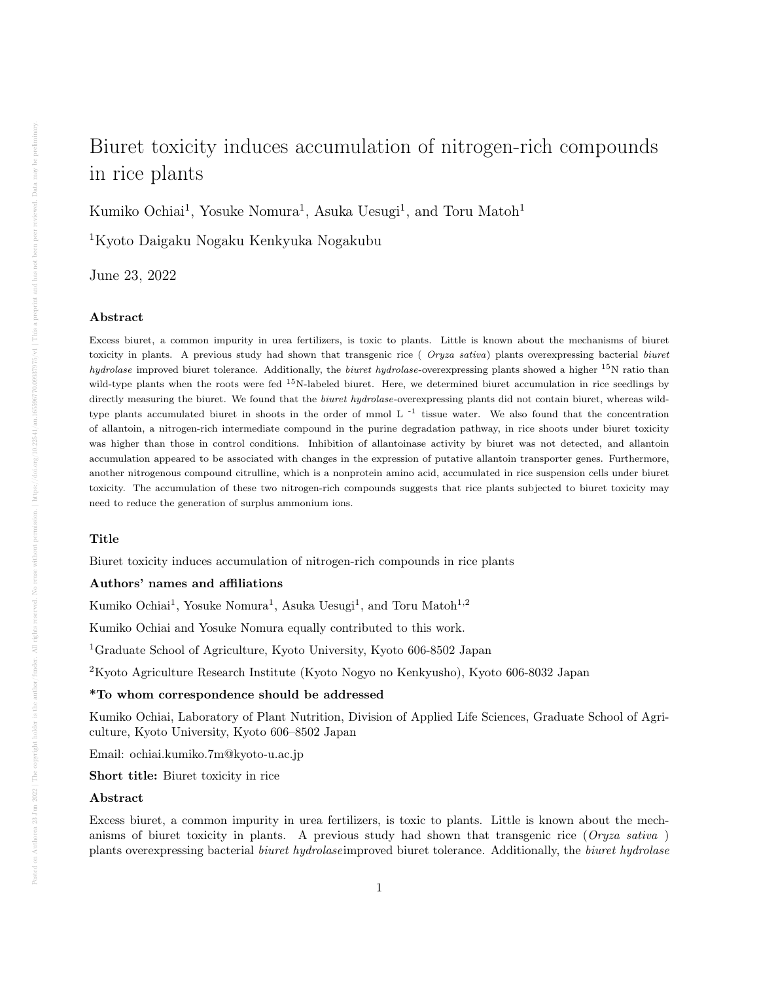# Biuret toxicity induces accumulation of nitrogen-rich compounds in rice plants

Kumiko Ochiai<sup>1</sup>, Yosuke Nomura<sup>1</sup>, Asuka Uesugi<sup>1</sup>, and Toru Matoh<sup>1</sup>

<sup>1</sup>Kyoto Daigaku Nogaku Kenkyuka Nogakubu

June 23, 2022

#### Abstract

Excess biuret, a common impurity in urea fertilizers, is toxic to plants. Little is known about the mechanisms of biuret toxicity in plants. A previous study had shown that transgenic rice ( Oryza sativa) plants overexpressing bacterial biuret *hydrolase* improved biuret tolerance. Additionally, the *biuret hydrolase*-overexpressing plants showed a higher  $^{15}$ N ratio than wild-type plants when the roots were fed <sup>15</sup>N-labeled biuret. Here, we determined biuret accumulation in rice seedlings by directly measuring the biuret. We found that the *biuret hydrolase*-overexpressing plants did not contain biuret, whereas wildtype plants accumulated biuret in shoots in the order of mmol  $L^{-1}$  tissue water. We also found that the concentration of allantoin, a nitrogen-rich intermediate compound in the purine degradation pathway, in rice shoots under biuret toxicity was higher than those in control conditions. Inhibition of allantoinase activity by biuret was not detected, and allantoin accumulation appeared to be associated with changes in the expression of putative allantoin transporter genes. Furthermore, another nitrogenous compound citrulline, which is a nonprotein amino acid, accumulated in rice suspension cells under biuret toxicity. The accumulation of these two nitrogen-rich compounds suggests that rice plants subjected to biuret toxicity may need to reduce the generation of surplus ammonium ions.

## Title

Biuret toxicity induces accumulation of nitrogen-rich compounds in rice plants

## Authors' names and affiliations

Kumiko Ochiai<sup>1</sup>, Yosuke Nomura<sup>1</sup>, Asuka Uesugi<sup>1</sup>, and Toru Matoh<sup>1,2</sup>

Kumiko Ochiai and Yosuke Nomura equally contributed to this work.

<sup>1</sup>Graduate School of Agriculture, Kyoto University, Kyoto 606-8502 Japan

<sup>2</sup>Kyoto Agriculture Research Institute (Kyoto Nogyo no Kenkyusho), Kyoto 606-8032 Japan

## \*To whom correspondence should be addressed

Kumiko Ochiai, Laboratory of Plant Nutrition, Division of Applied Life Sciences, Graduate School of Agriculture, Kyoto University, Kyoto 606–8502 Japan

Email: ochiai.kumiko.7m@kyoto-u.ac.jp

Short title: Biuret toxicity in rice

#### Abstract

Excess biuret, a common impurity in urea fertilizers, is toxic to plants. Little is known about the mechanisms of biuret toxicity in plants. A previous study had shown that transgenic rice (Oryza sativa) plants overexpressing bacterial biuret hydrolaseimproved biuret tolerance. Additionally, the biuret hydrolase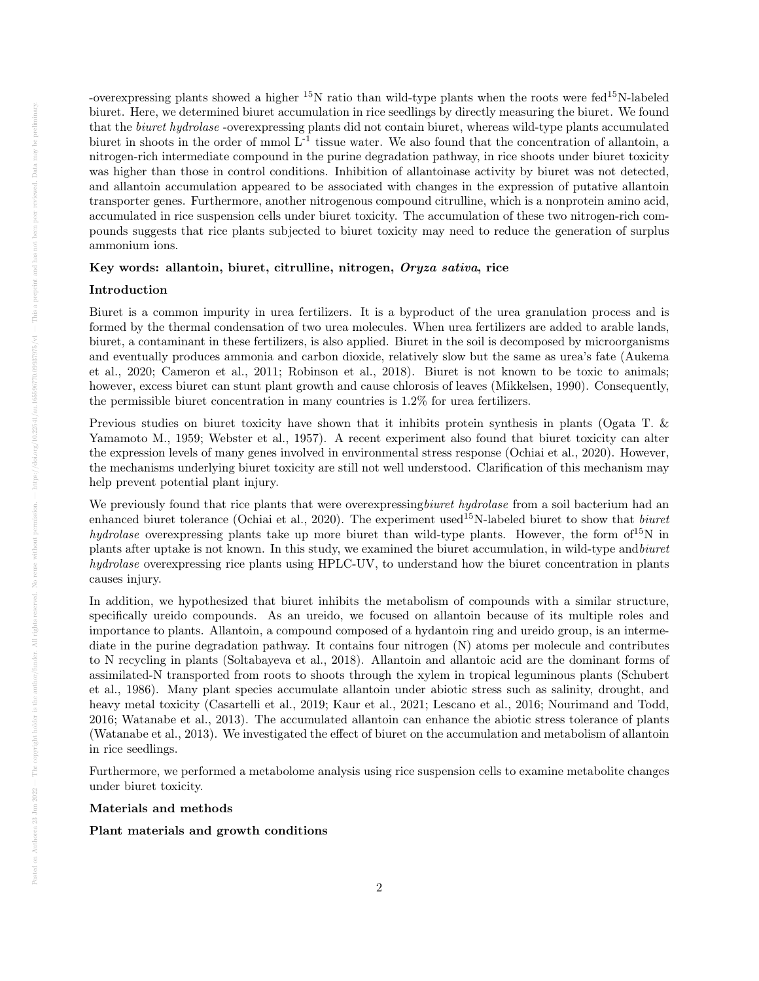-overexpressing plants showed a higher  $15N$  ratio than wild-type plants when the roots were fed $15N$ -labeled biuret. Here, we determined biuret accumulation in rice seedlings by directly measuring the biuret. We found that the biuret hydrolase -overexpressing plants did not contain biuret, whereas wild-type plants accumulated biuret in shoots in the order of mmol L-1 tissue water. We also found that the concentration of allantoin, a nitrogen-rich intermediate compound in the purine degradation pathway, in rice shoots under biuret toxicity was higher than those in control conditions. Inhibition of allantoinase activity by biuret was not detected, and allantoin accumulation appeared to be associated with changes in the expression of putative allantoin transporter genes. Furthermore, another nitrogenous compound citrulline, which is a nonprotein amino acid, accumulated in rice suspension cells under biuret toxicity. The accumulation of these two nitrogen-rich compounds suggests that rice plants subjected to biuret toxicity may need to reduce the generation of surplus ammonium ions.

## Key words: allantoin, biuret, citrulline, nitrogen, Oryza sativa, rice

## Introduction

Biuret is a common impurity in urea fertilizers. It is a byproduct of the urea granulation process and is formed by the thermal condensation of two urea molecules. When urea fertilizers are added to arable lands, biuret, a contaminant in these fertilizers, is also applied. Biuret in the soil is decomposed by microorganisms and eventually produces ammonia and carbon dioxide, relatively slow but the same as urea's fate (Aukema et al., 2020; Cameron et al., 2011; Robinson et al., 2018). Biuret is not known to be toxic to animals; however, excess biuret can stunt plant growth and cause chlorosis of leaves (Mikkelsen, 1990). Consequently, the permissible biuret concentration in many countries is 1.2% for urea fertilizers.

Previous studies on biuret toxicity have shown that it inhibits protein synthesis in plants (Ogata T. & Yamamoto M., 1959; Webster et al., 1957). A recent experiment also found that biuret toxicity can alter the expression levels of many genes involved in environmental stress response (Ochiai et al., 2020). However, the mechanisms underlying biuret toxicity are still not well understood. Clarification of this mechanism may help prevent potential plant injury.

We previously found that rice plants that were overexpressing biuret hydrolase from a soil bacterium had an enhanced biuret tolerance (Ochiai et al., 2020). The experiment used<sup>15</sup>N-labeled biuret to show that *biuret* hydrolase overexpressing plants take up more biuret than wild-type plants. However, the form of <sup>15</sup>N in plants after uptake is not known. In this study, we examined the biuret accumulation, in wild-type andbiuret hydrolase overexpressing rice plants using HPLC-UV, to understand how the biuret concentration in plants causes injury.

In addition, we hypothesized that biuret inhibits the metabolism of compounds with a similar structure, specifically ureido compounds. As an ureido, we focused on allantoin because of its multiple roles and importance to plants. Allantoin, a compound composed of a hydantoin ring and ureido group, is an intermediate in the purine degradation pathway. It contains four nitrogen (N) atoms per molecule and contributes to N recycling in plants (Soltabayeva et al., 2018). Allantoin and allantoic acid are the dominant forms of assimilated-N transported from roots to shoots through the xylem in tropical leguminous plants (Schubert et al., 1986). Many plant species accumulate allantoin under abiotic stress such as salinity, drought, and heavy metal toxicity (Casartelli et al., 2019; Kaur et al., 2021; Lescano et al., 2016; Nourimand and Todd, 2016; Watanabe et al., 2013). The accumulated allantoin can enhance the abiotic stress tolerance of plants (Watanabe et al., 2013). We investigated the effect of biuret on the accumulation and metabolism of allantoin in rice seedlings.

Furthermore, we performed a metabolome analysis using rice suspension cells to examine metabolite changes under biuret toxicity.

## Materials and methods

## Plant materials and growth conditions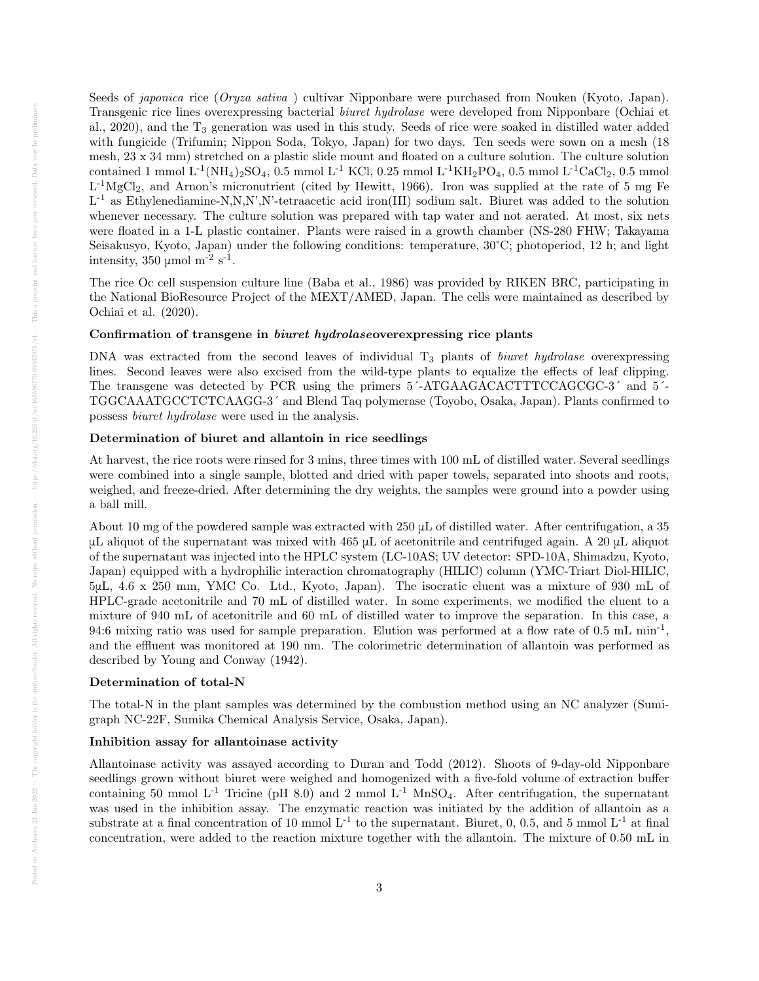Seeds of *japonica* rice (*Oryza sativa*) cultivar Nipponbare were purchased from Nouken (Kyoto, Japan). Transgenic rice lines overexpressing bacterial biuret hydrolase were developed from Nipponbare (Ochiai et al., 2020), and the T<sub>3</sub> generation was used in this study. Seeds of rice were soaked in distilled water added with fungicide (Trifumin; Nippon Soda, Tokyo, Japan) for two days. Ten seeds were sown on a mesh (18 mesh, 23 x 34 mm) stretched on a plastic slide mount and floated on a culture solution. The culture solution contained 1 mmol  $L^{-1}(NH_4)_2SO_4$ , 0.5 mmol  $L^{-1}$  KCl, 0.25 mmol  $L^{-1}KH_2PO_4$ , 0.5 mmol  $L^{-1}CaCl_2$ , 0.5 mmol  $L^{-1}MgCl_2$ , and Arnon's micronutrient (cited by Hewitt, 1966). Iron was supplied at the rate of 5 mg Fe L<sup>-1</sup> as Ethylenediamine-N,N,N',N'-tetraacetic acid iron(III) sodium salt. Biuret was added to the solution whenever necessary. The culture solution was prepared with tap water and not aerated. At most, six nets were floated in a 1-L plastic container. Plants were raised in a growth chamber (NS-280 FHW; Takayama Seisakusyo, Kyoto, Japan) under the following conditions: temperature, 30°C; photoperiod, 12 h; and light intensity,  $350 \text{ } \mu \text{mol m}^{-2} \text{ s}^{-1}$ .

The rice Oc cell suspension culture line (Baba et al., 1986) was provided by RIKEN BRC, participating in the National BioResource Project of the MEXT/AMED, Japan. The cells were maintained as described by Ochiai et al. (2020).

## Confirmation of transgene in biuret hydrolaseoverexpressing rice plants

DNA was extracted from the second leaves of individual  $T_3$  plants of *biuret hydrolase* overexpressing lines. Second leaves were also excised from the wild-type plants to equalize the effects of leaf clipping. The transgene was detected by PCR using the primers 5´-ATGAAGACACTTTCCAGCGC-3´ and 5´- TGGCAAATGCCTCTCAAGG-3´ and Blend Taq polymerase (Toyobo, Osaka, Japan). Plants confirmed to possess biuret hydrolase were used in the analysis.

## Determination of biuret and allantoin in rice seedlings

At harvest, the rice roots were rinsed for 3 mins, three times with 100 mL of distilled water. Several seedlings were combined into a single sample, blotted and dried with paper towels, separated into shoots and roots, weighed, and freeze-dried. After determining the dry weights, the samples were ground into a powder using a ball mill.

About 10 mg of the powdered sample was extracted with 250 μL of distilled water. After centrifugation, a 35 μL aliquot of the supernatant was mixed with 465 μL of acetonitrile and centrifuged again. A 20 μL aliquot of the supernatant was injected into the HPLC system (LC-10AS; UV detector: SPD-10A, Shimadzu, Kyoto, Japan) equipped with a hydrophilic interaction chromatography (HILIC) column (YMC-Triart Diol-HILIC, 5μL, 4.6 x 250 mm, YMC Co. Ltd., Kyoto, Japan). The isocratic eluent was a mixture of 930 mL of HPLC-grade acetonitrile and 70 mL of distilled water. In some experiments, we modified the eluent to a mixture of 940 mL of acetonitrile and 60 mL of distilled water to improve the separation. In this case, a 94:6 mixing ratio was used for sample preparation. Elution was performed at a flow rate of 0.5 mL min<sup>-1</sup>, and the effluent was monitored at 190 nm. The colorimetric determination of allantoin was performed as described by Young and Conway (1942).

#### Determination of total-N

The total-N in the plant samples was determined by the combustion method using an NC analyzer (Sumigraph NC-22F, Sumika Chemical Analysis Service, Osaka, Japan).

## Inhibition assay for allantoinase activity

Allantoinase activity was assayed according to Duran and Todd (2012). Shoots of 9-day-old Nipponbare seedlings grown without biuret were weighed and homogenized with a five-fold volume of extraction buffer containing 50 mmol L<sup>-1</sup> Tricine (pH 8.0) and 2 mmol L<sup>-1</sup> MnSO<sub>4</sub>. After centrifugation, the supernatant was used in the inhibition assay. The enzymatic reaction was initiated by the addition of allantoin as a substrate at a final concentration of 10 mmol  $L^{-1}$  to the supernatant. Biuret, 0, 0.5, and 5 mmol  $L^{-1}$  at final concentration, were added to the reaction mixture together with the allantoin. The mixture of 0.50 mL in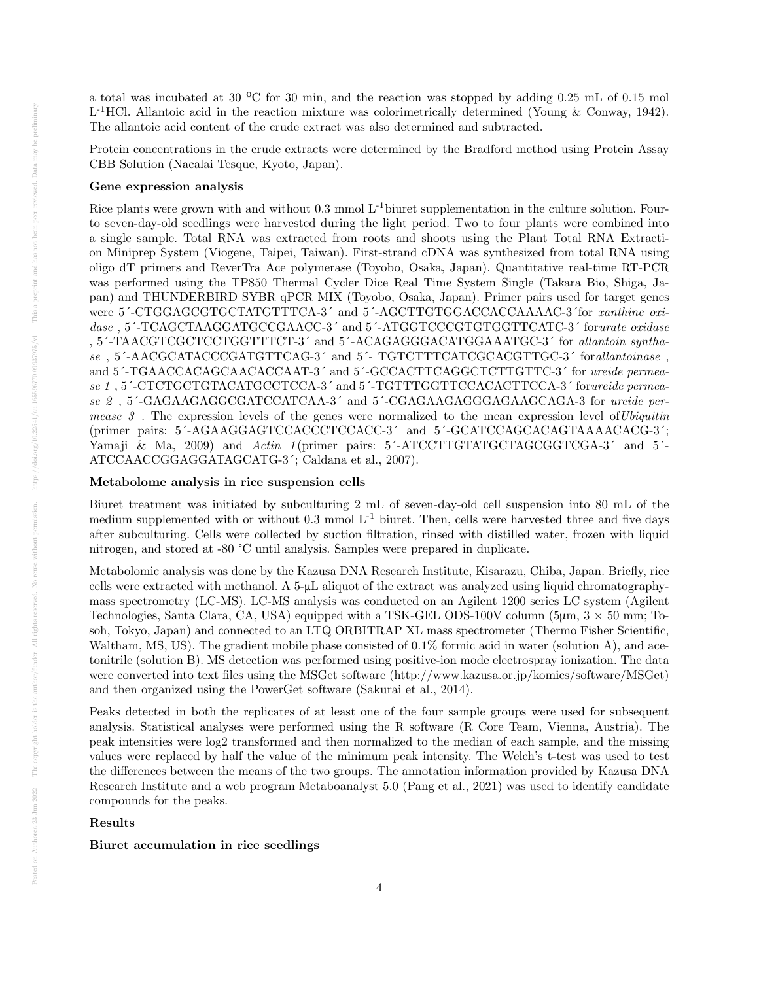a total was incubated at 30 ºC for 30 min, and the reaction was stopped by adding 0.25 mL of 0.15 mol L<sup>-1</sup>HCl. Allantoic acid in the reaction mixture was colorimetrically determined (Young & Conway, 1942). The allantoic acid content of the crude extract was also determined and subtracted.

Protein concentrations in the crude extracts were determined by the Bradford method using Protein Assay CBB Solution (Nacalai Tesque, Kyoto, Japan).

## Gene expression analysis

Rice plants were grown with and without  $0.3 \text{ mmol L}^{-1}$  biuret supplementation in the culture solution. Fourto seven-day-old seedlings were harvested during the light period. Two to four plants were combined into a single sample. Total RNA was extracted from roots and shoots using the Plant Total RNA Extraction Miniprep System (Viogene, Taipei, Taiwan). First-strand cDNA was synthesized from total RNA using oligo dT primers and ReverTra Ace polymerase (Toyobo, Osaka, Japan). Quantitative real-time RT-PCR was performed using the TP850 Thermal Cycler Dice Real Time System Single (Takara Bio, Shiga, Japan) and THUNDERBIRD SYBR qPCR MIX (Toyobo, Osaka, Japan). Primer pairs used for target genes were 5´-CTGGAGCGTGCTATGTTTCA-3´ and 5´-AGCTTGTGGACCACCAAAAC-3´for xanthine oxidase, 5<sup> $-$ </sup>TCAGCTAAGGATGCCGAACC-3<sup> $\prime$ </sup> and 5<sup> $-$ </sup>ATGGTCCCGTGTGGTTCATC-3<sup> $\prime$ </sup> forurate oxidase , 5´-TAACGTCGCTCCTGGTTTCT-3´ and 5´-ACAGAGGGACATGGAAATGC-3´ for allantoin synthase , 5´-AACGCATACCCGATGTTCAG-3´ and 5´- TGTCTTTCATCGCACGTTGC-3´ forallantoinase, and  $5'-TGAACCAGCAACACCAAT-3'$  and  $5'-GCCACTTCAGGCTCTTGTTC-3'$  for ureide permease 1 , 5´-CTCTGCTGTACATGCCTCCA-3´ and 5´-TGTTTGGTTCCACACTTCCA-3´ forureide permease 2, 5<sup>2</sup>-GAGAAGAGGCGATCCATCAA-3<sup>2</sup> and 5<sup>2</sup>-CGAGAAGAGGGAGAAGCAGA-3 for ureide permease  $3$ . The expression levels of the genes were normalized to the mean expression level of Ubiquitin (primer pairs: 5´-AGAAGGAGTCCACCCTCCACC-3´ and 5´-GCATCCAGCACAGTAAAACACG-3´; Yamaji & Ma, 2009) and Actin 1 (primer pairs: 5<sup>2</sup>-ATCCTTGTATGCTAGCGGTCGA-3<sup>2</sup> and 5<sup>2</sup> ATCCAACCGGAGGATAGCATG-3´; Caldana et al., 2007).

## Metabolome analysis in rice suspension cells

Biuret treatment was initiated by subculturing 2 mL of seven-day-old cell suspension into 80 mL of the medium supplemented with or without  $0.3 \text{ mmol } L^{-1}$  biuret. Then, cells were harvested three and five days after subculturing. Cells were collected by suction filtration, rinsed with distilled water, frozen with liquid nitrogen, and stored at -80 °C until analysis. Samples were prepared in duplicate.

Metabolomic analysis was done by the Kazusa DNA Research Institute, Kisarazu, Chiba, Japan. Briefly, rice cells were extracted with methanol. A 5-μL aliquot of the extract was analyzed using liquid chromatographymass spectrometry (LC-MS). LC-MS analysis was conducted on an Agilent 1200 series LC system (Agilent Technologies, Santa Clara, CA, USA) equipped with a TSK-GEL ODS-100V column ( $5\mu$ m,  $3 \times 50$  mm; Tosoh, Tokyo, Japan) and connected to an LTQ ORBITRAP XL mass spectrometer (Thermo Fisher Scientific, Waltham, MS, US). The gradient mobile phase consisted of 0.1% formic acid in water (solution A), and acetonitrile (solution B). MS detection was performed using positive-ion mode electrospray ionization. The data were converted into text files using the MSGet software (http://www.kazusa.or.jp/komics/software/MSGet) and then organized using the PowerGet software (Sakurai et al., 2014).

Peaks detected in both the replicates of at least one of the four sample groups were used for subsequent analysis. Statistical analyses were performed using the R software (R Core Team, Vienna, Austria). The peak intensities were log2 transformed and then normalized to the median of each sample, and the missing values were replaced by half the value of the minimum peak intensity. The Welch's t-test was used to test the differences between the means of the two groups. The annotation information provided by Kazusa DNA Research Institute and a web program Metaboanalyst 5.0 (Pang et al., 2021) was used to identify candidate compounds for the peaks.

#### Results

## Biuret accumulation in rice seedlings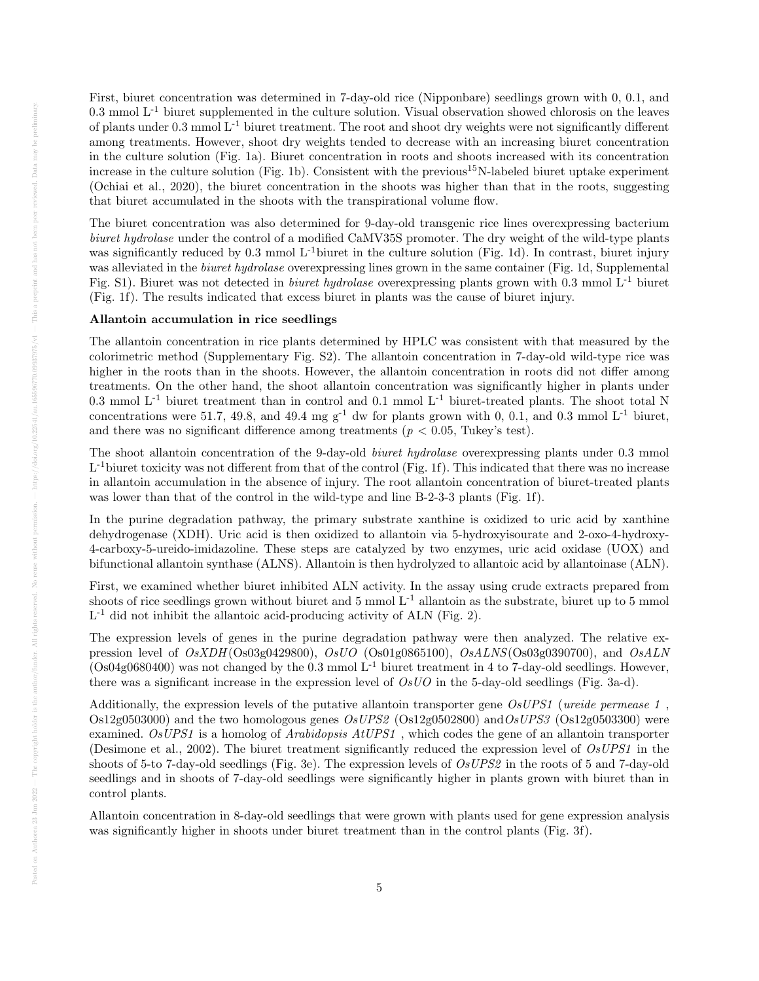First, biuret concentration was determined in 7-day-old rice (Nipponbare) seedlings grown with 0, 0.1, and  $0.3$  mmol  $L^{-1}$  biuret supplemented in the culture solution. Visual observation showed chlorosis on the leaves of plants under 0.3 mmol L-1 biuret treatment. The root and shoot dry weights were not significantly different among treatments. However, shoot dry weights tended to decrease with an increasing biuret concentration in the culture solution (Fig. 1a). Biuret concentration in roots and shoots increased with its concentration increase in the culture solution (Fig. 1b). Consistent with the previous<sup>15</sup>N-labeled biuret uptake experiment (Ochiai et al., 2020), the biuret concentration in the shoots was higher than that in the roots, suggesting that biuret accumulated in the shoots with the transpirational volume flow.

The biuret concentration was also determined for 9-day-old transgenic rice lines overexpressing bacterium biuret hydrolase under the control of a modified CaMV35S promoter. The dry weight of the wild-type plants was significantly reduced by 0.3 mmol L<sup>-1</sup>biuret in the culture solution (Fig. 1d). In contrast, biuret injury was alleviated in the *biuret hydrolase* overexpressing lines grown in the same container (Fig. 1d, Supplemental Fig. S1). Biuret was not detected in *biuret hydrolase* overexpressing plants grown with 0.3 mmol  $L^{-1}$  biuret (Fig. 1f). The results indicated that excess biuret in plants was the cause of biuret injury.

#### Allantoin accumulation in rice seedlings

The allantoin concentration in rice plants determined by HPLC was consistent with that measured by the colorimetric method (Supplementary Fig. S2). The allantoin concentration in 7-day-old wild-type rice was higher in the roots than in the shoots. However, the allantoin concentration in roots did not differ among treatments. On the other hand, the shoot allantoin concentration was significantly higher in plants under 0.3 mmol  $L^{-1}$  biuret treatment than in control and 0.1 mmol  $L^{-1}$  biuret-treated plants. The shoot total N concentrations were 51.7, 49.8, and 49.4 mg  $g^{-1}$  dw for plants grown with 0, 0.1, and 0.3 mmol  $L^{-1}$  biuret, and there was no significant difference among treatments ( $p < 0.05$ , Tukey's test).

The shoot allantoin concentration of the 9-day-old biuret hydrolase overexpressing plants under 0.3 mmol L<sup>-1</sup>biuret toxicity was not different from that of the control (Fig. 1f). This indicated that there was no increase in allantoin accumulation in the absence of injury. The root allantoin concentration of biuret-treated plants was lower than that of the control in the wild-type and line B-2-3-3 plants (Fig. 1f).

In the purine degradation pathway, the primary substrate xanthine is oxidized to uric acid by xanthine dehydrogenase (XDH). Uric acid is then oxidized to allantoin via 5-hydroxyisourate and 2-oxo-4-hydroxy-4-carboxy-5-ureido-imidazoline. These steps are catalyzed by two enzymes, uric acid oxidase (UOX) and bifunctional allantoin synthase (ALNS). Allantoin is then hydrolyzed to allantoic acid by allantoinase (ALN).

First, we examined whether biuret inhibited ALN activity. In the assay using crude extracts prepared from shoots of rice seedlings grown without biuret and  $5 \text{ mmol } L^{-1}$  allantoin as the substrate, biuret up to  $5 \text{ mmol}$ L<sup>-1</sup> did not inhibit the allantoic acid-producing activity of ALN (Fig. 2).

The expression levels of genes in the purine degradation pathway were then analyzed. The relative expression level of  $OsXDH(Os03g0429800)$ ,  $OsUO$  (Os01g0865100),  $OsALNS(Os03g0390700)$ , and  $OsALN$ (Os04g0680400) was not changed by the  $0.3$  mmol  $L^{-1}$  biuret treatment in 4 to 7-day-old seedlings. However, there was a significant increase in the expression level of  $OsUO$  in the 5-day-old seedlings (Fig. 3a-d).

Additionally, the expression levels of the putative allantoin transporter gene OsUPS1 (ureide permease 1,  $Os12g0503000$ ) and the two homologous genes  $OsUPS2$  ( $Os12g0502800$ ) and  $OsUPS3$  ( $Os12g0503300$ ) were examined. OsUPS1 is a homolog of Arabidopsis AtUPS1, which codes the gene of an allantoin transporter (Desimone et al., 2002). The biuret treatment significantly reduced the expression level of OsUPS1 in the shoots of 5-to 7-day-old seedlings (Fig. 3e). The expression levels of OsUPS2 in the roots of 5 and 7-day-old seedlings and in shoots of 7-day-old seedlings were significantly higher in plants grown with biuret than in control plants.

Allantoin concentration in 8-day-old seedlings that were grown with plants used for gene expression analysis was significantly higher in shoots under biuret treatment than in the control plants (Fig. 3f).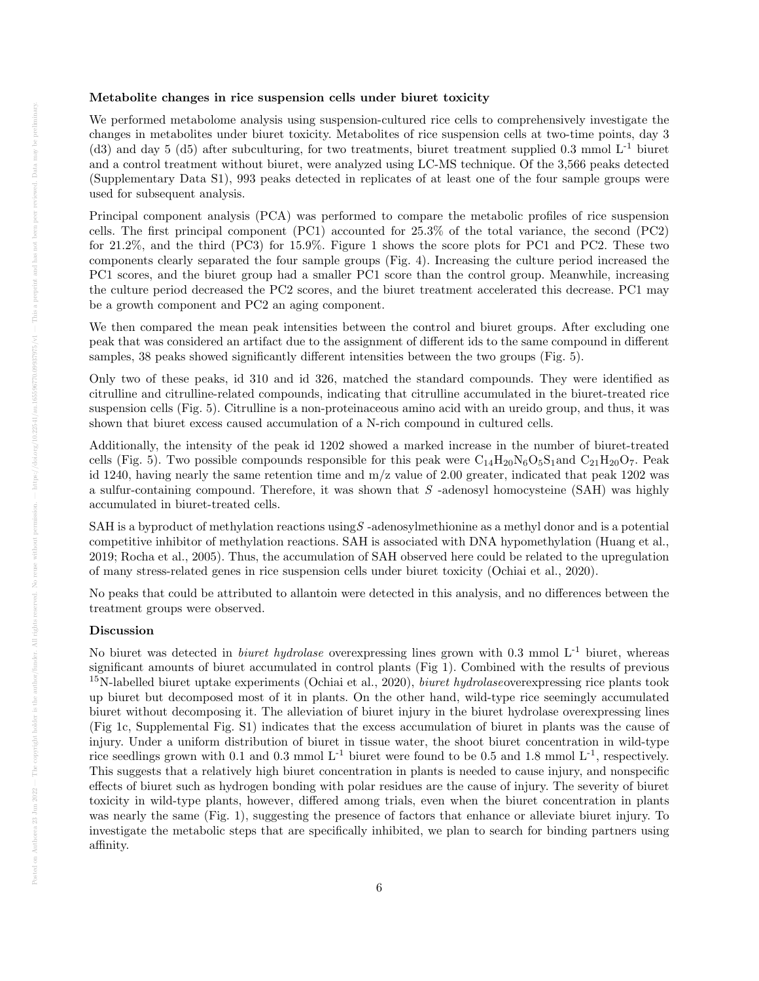#### Metabolite changes in rice suspension cells under biuret toxicity

We performed metabolome analysis using suspension-cultured rice cells to comprehensively investigate the changes in metabolites under biuret toxicity. Metabolites of rice suspension cells at two-time points, day 3 (d3) and day 5 (d5) after subculturing, for two treatments, biuret treatment supplied 0.3 mmol L-1 biuret and a control treatment without biuret, were analyzed using LC-MS technique. Of the 3,566 peaks detected (Supplementary Data S1), 993 peaks detected in replicates of at least one of the four sample groups were used for subsequent analysis.

Principal component analysis (PCA) was performed to compare the metabolic profiles of rice suspension cells. The first principal component (PC1) accounted for 25.3% of the total variance, the second (PC2) for 21.2%, and the third (PC3) for 15.9%. Figure 1 shows the score plots for PC1 and PC2. These two components clearly separated the four sample groups (Fig. 4). Increasing the culture period increased the PC1 scores, and the biuret group had a smaller PC1 score than the control group. Meanwhile, increasing the culture period decreased the PC2 scores, and the biuret treatment accelerated this decrease. PC1 may be a growth component and PC2 an aging component.

We then compared the mean peak intensities between the control and biuret groups. After excluding one peak that was considered an artifact due to the assignment of different ids to the same compound in different samples, 38 peaks showed significantly different intensities between the two groups (Fig. 5).

Only two of these peaks, id 310 and id 326, matched the standard compounds. They were identified as citrulline and citrulline-related compounds, indicating that citrulline accumulated in the biuret-treated rice suspension cells (Fig. 5). Citrulline is a non-proteinaceous amino acid with an ureido group, and thus, it was shown that biuret excess caused accumulation of a N-rich compound in cultured cells.

Additionally, the intensity of the peak id 1202 showed a marked increase in the number of biuret-treated cells (Fig. 5). Two possible compounds responsible for this peak were  $C_{14}H_{20}N_6O_5S_1$  and  $C_{21}H_{20}O_7$ . Peak id 1240, having nearly the same retention time and  $m/z$  value of 2.00 greater, indicated that peak 1202 was a sulfur-containing compound. Therefore, it was shown that  $S$  -adenosyl homocysteine (SAH) was highly accumulated in biuret-treated cells.

SAH is a byproduct of methylation reactions using  $S$ -adenosylmethionine as a methyl donor and is a potential competitive inhibitor of methylation reactions. SAH is associated with DNA hypomethylation (Huang et al., 2019; Rocha et al., 2005). Thus, the accumulation of SAH observed here could be related to the upregulation of many stress-related genes in rice suspension cells under biuret toxicity (Ochiai et al., 2020).

No peaks that could be attributed to allantoin were detected in this analysis, and no differences between the treatment groups were observed.

## Discussion

No biuret was detected in *biuret hydrolase* overexpressing lines grown with 0.3 mmol  $L^{-1}$  biuret, whereas significant amounts of biuret accumulated in control plants (Fig 1). Combined with the results of previous  $15$ N-labelled biuret uptake experiments (Ochiai et al., 2020), *biuret hydrolase* overexpressing rice plants took up biuret but decomposed most of it in plants. On the other hand, wild-type rice seemingly accumulated biuret without decomposing it. The alleviation of biuret injury in the biuret hydrolase overexpressing lines (Fig 1c, Supplemental Fig. S1) indicates that the excess accumulation of biuret in plants was the cause of injury. Under a uniform distribution of biuret in tissue water, the shoot biuret concentration in wild-type rice seedlings grown with 0.1 and 0.3 mmol  $L^{-1}$  biuret were found to be 0.5 and 1.8 mmol  $L^{-1}$ , respectively. This suggests that a relatively high biuret concentration in plants is needed to cause injury, and nonspecific effects of biuret such as hydrogen bonding with polar residues are the cause of injury. The severity of biuret toxicity in wild-type plants, however, differed among trials, even when the biuret concentration in plants was nearly the same (Fig. 1), suggesting the presence of factors that enhance or alleviate biuret injury. To investigate the metabolic steps that are specifically inhibited, we plan to search for binding partners using affinity.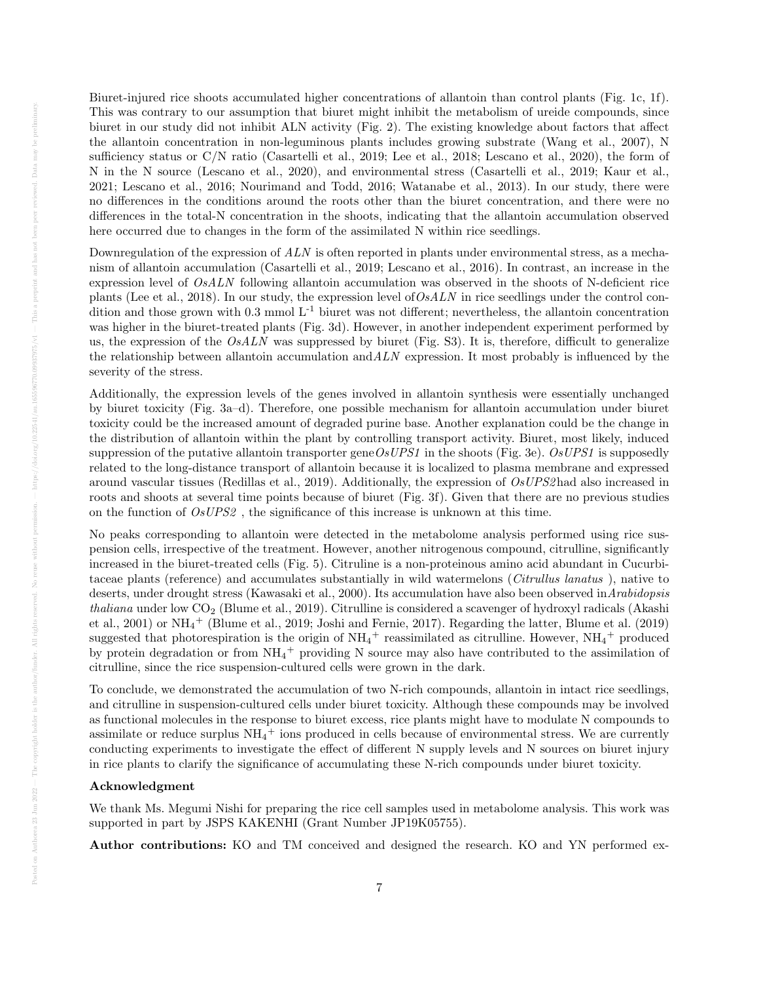Biuret-injured rice shoots accumulated higher concentrations of allantoin than control plants (Fig. 1c, 1f). This was contrary to our assumption that biuret might inhibit the metabolism of ureide compounds, since biuret in our study did not inhibit ALN activity (Fig. 2). The existing knowledge about factors that affect the allantoin concentration in non-leguminous plants includes growing substrate (Wang et al., 2007), N sufficiency status or C/N ratio (Casartelli et al., 2019; Lee et al., 2018; Lescano et al., 2020), the form of N in the N source (Lescano et al., 2020), and environmental stress (Casartelli et al., 2019; Kaur et al., 2021; Lescano et al., 2016; Nourimand and Todd, 2016; Watanabe et al., 2013). In our study, there were no differences in the conditions around the roots other than the biuret concentration, and there were no differences in the total-N concentration in the shoots, indicating that the allantoin accumulation observed here occurred due to changes in the form of the assimilated N within rice seedlings.

Downregulation of the expression of ALN is often reported in plants under environmental stress, as a mechanism of allantoin accumulation (Casartelli et al., 2019; Lescano et al., 2016). In contrast, an increase in the expression level of OsALN following allantoin accumulation was observed in the shoots of N-deficient rice plants (Lee et al., 2018). In our study, the expression level of  $OsALN$  in rice seedlings under the control condition and those grown with  $0.3 \text{ mmol } L^{-1}$  biuret was not different; nevertheless, the allantoin concentration was higher in the biuret-treated plants (Fig. 3d). However, in another independent experiment performed by us, the expression of the  $OsALN$  was suppressed by biuret (Fig. S3). It is, therefore, difficult to generalize the relationship between allantoin accumulation and  $ALN$  expression. It most probably is influenced by the severity of the stress.

Additionally, the expression levels of the genes involved in allantoin synthesis were essentially unchanged by biuret toxicity (Fig. 3a–d). Therefore, one possible mechanism for allantoin accumulation under biuret toxicity could be the increased amount of degraded purine base. Another explanation could be the change in the distribution of allantoin within the plant by controlling transport activity. Biuret, most likely, induced suppression of the putative allantoin transporter gene OsUPS1 in the shoots (Fig. 3e). OsUPS1 is supposedly related to the long-distance transport of allantoin because it is localized to plasma membrane and expressed around vascular tissues (Redillas et al., 2019). Additionally, the expression of OsUPS2had also increased in roots and shoots at several time points because of biuret (Fig. 3f). Given that there are no previous studies on the function of OsUPS2 , the significance of this increase is unknown at this time.

No peaks corresponding to allantoin were detected in the metabolome analysis performed using rice suspension cells, irrespective of the treatment. However, another nitrogenous compound, citrulline, significantly increased in the biuret-treated cells (Fig. 5). Citruline is a non-proteinous amino acid abundant in Cucurbitaceae plants (reference) and accumulates substantially in wild watermelons (Citrullus lanatus ), native to deserts, under drought stress (Kawasaki et al., 2000). Its accumulation have also been observed inArabidopsis thaliana under low  $CO<sub>2</sub>$  (Blume et al., 2019). Citrulline is considered a scavenger of hydroxyl radicals (Akashi et al., 2001) or NH<sup>4</sup> <sup>+</sup> (Blume et al., 2019; Joshi and Fernie, 2017). Regarding the latter, Blume et al. (2019) suggested that photorespiration is the origin of  $NH_4$ <sup>+</sup> reassimilated as citrulline. However,  $NH_4$ <sup>+</sup> produced by protein degradation or from  $NH_4$ <sup>+</sup> providing N source may also have contributed to the assimilation of citrulline, since the rice suspension-cultured cells were grown in the dark.

To conclude, we demonstrated the accumulation of two N-rich compounds, allantoin in intact rice seedlings, and citrulline in suspension-cultured cells under biuret toxicity. Although these compounds may be involved as functional molecules in the response to biuret excess, rice plants might have to modulate N compounds to assimilate or reduce surplus  $NH_4$ <sup>+</sup> ions produced in cells because of environmental stress. We are currently conducting experiments to investigate the effect of different N supply levels and N sources on biuret injury in rice plants to clarify the significance of accumulating these N-rich compounds under biuret toxicity.

#### Acknowledgment

We thank Ms. Megumi Nishi for preparing the rice cell samples used in metabolome analysis. This work was supported in part by JSPS KAKENHI (Grant Number JP19K05755).

Author contributions: KO and TM conceived and designed the research. KO and YN performed ex-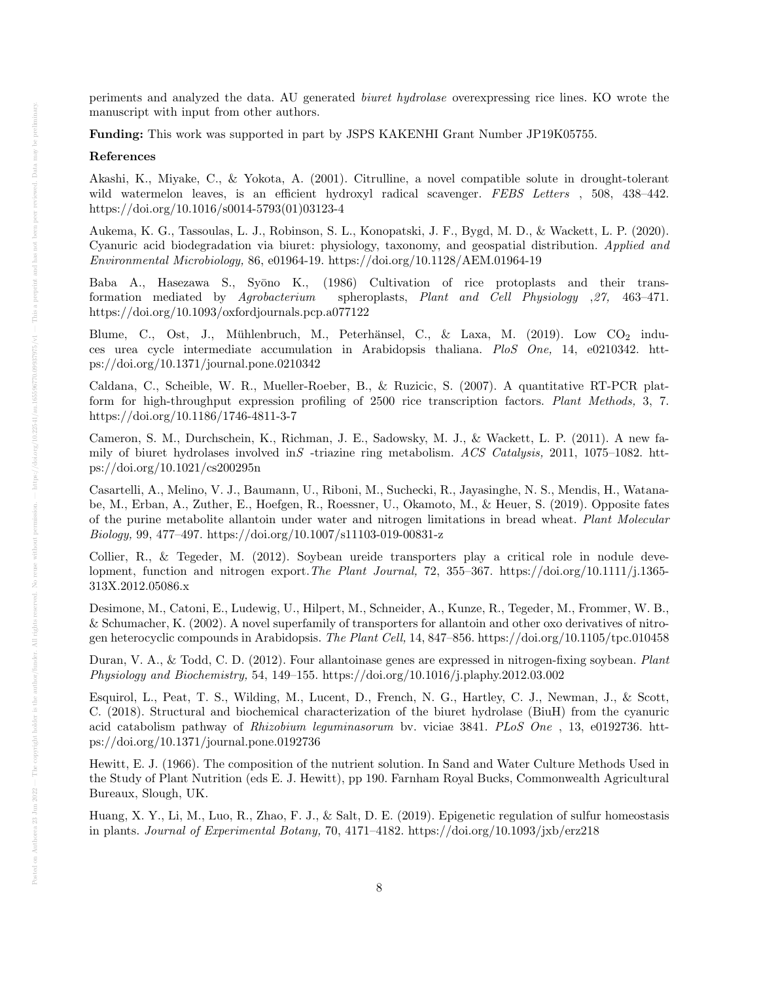periments and analyzed the data. AU generated biuret hydrolase overexpressing rice lines. KO wrote the manuscript with input from other authors.

Funding: This work was supported in part by JSPS KAKENHI Grant Number JP19K05755.

## References

Akashi, K., Miyake, C., & Yokota, A. (2001). Citrulline, a novel compatible solute in drought-tolerant wild watermelon leaves, is an efficient hydroxyl radical scavenger. FEBS Letters, 508, 438-442. https://doi.org/10.1016/s0014-5793(01)03123-4

Aukema, K. G., Tassoulas, L. J., Robinson, S. L., Konopatski, J. F., Bygd, M. D., & Wackett, L. P. (2020). Cyanuric acid biodegradation via biuret: physiology, taxonomy, and geospatial distribution. Applied and Environmental Microbiology, 86, e01964-19. https://doi.org/10.1128/AEM.01964-19

Baba A., Hasezawa S., Syōno K., (1986) Cultivation of rice protoplasts and their transformation mediated by Agrobacterium spheroplasts, Plant and Cell Physiology ,27, 463–471. https://doi.org/10.1093/oxfordjournals.pcp.a077122

Blume, C., Ost, J., Mühlenbruch, M., Peterhänsel, C., & Laxa, M. (2019). Low  $CO<sub>2</sub>$  induces urea cycle intermediate accumulation in Arabidopsis thaliana. PloS One, 14, e0210342. https://doi.org/10.1371/journal.pone.0210342

Caldana, C., Scheible, W. R., Mueller-Roeber, B., & Ruzicic, S. (2007). A quantitative RT-PCR platform for high-throughput expression profiling of 2500 rice transcription factors. Plant Methods, 3, 7. https://doi.org/10.1186/1746-4811-3-7

Cameron, S. M., Durchschein, K., Richman, J. E., Sadowsky, M. J., & Wackett, L. P. (2011). A new family of biuret hydrolases involved in S-triazine ring metabolism. ACS Catalysis, 2011, 1075–1082. https://doi.org/10.1021/cs200295n

Casartelli, A., Melino, V. J., Baumann, U., Riboni, M., Suchecki, R., Jayasinghe, N. S., Mendis, H., Watanabe, M., Erban, A., Zuther, E., Hoefgen, R., Roessner, U., Okamoto, M., & Heuer, S. (2019). Opposite fates of the purine metabolite allantoin under water and nitrogen limitations in bread wheat. Plant Molecular Biology, 99, 477–497. https://doi.org/10.1007/s11103-019-00831-z

Collier, R., & Tegeder, M. (2012). Soybean ureide transporters play a critical role in nodule development, function and nitrogen export.The Plant Journal, 72, 355–367. https://doi.org/10.1111/j.1365- 313X.2012.05086.x

Desimone, M., Catoni, E., Ludewig, U., Hilpert, M., Schneider, A., Kunze, R., Tegeder, M., Frommer, W. B., & Schumacher, K. (2002). A novel superfamily of transporters for allantoin and other oxo derivatives of nitrogen heterocyclic compounds in Arabidopsis. The Plant Cell, 14, 847–856. https://doi.org/10.1105/tpc.010458

Duran, V. A., & Todd, C. D. (2012). Four allantoinase genes are expressed in nitrogen-fixing soybean. Plant Physiology and Biochemistry, 54, 149–155. https://doi.org/10.1016/j.plaphy.2012.03.002

Esquirol, L., Peat, T. S., Wilding, M., Lucent, D., French, N. G., Hartley, C. J., Newman, J., & Scott, C. (2018). Structural and biochemical characterization of the biuret hydrolase (BiuH) from the cyanuric acid catabolism pathway of Rhizobium leguminasorum bv. viciae 3841. PLoS One , 13, e0192736. https://doi.org/10.1371/journal.pone.0192736

Hewitt, E. J. (1966). The composition of the nutrient solution. In Sand and Water Culture Methods Used in the Study of Plant Nutrition (eds E. J. Hewitt), pp 190. Farnham Royal Bucks, Commonwealth Agricultural Bureaux, Slough, UK.

Huang, X. Y., Li, M., Luo, R., Zhao, F. J., & Salt, D. E. (2019). Epigenetic regulation of sulfur homeostasis in plants. Journal of Experimental Botany, 70, 4171–4182. https://doi.org/10.1093/jxb/erz218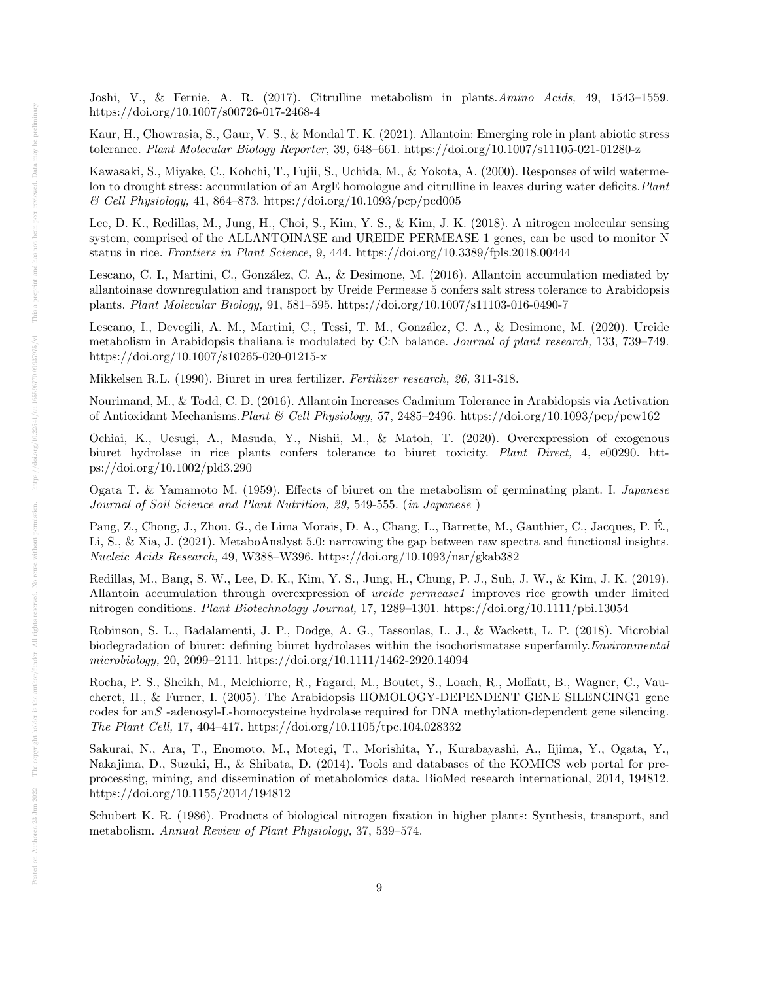Joshi, V., & Fernie, A. R. (2017). Citrulline metabolism in plants.Amino Acids, 49, 1543–1559. https://doi.org/10.1007/s00726-017-2468-4

Kaur, H., Chowrasia, S., Gaur, V. S., & Mondal T. K. (2021). Allantoin: Emerging role in plant abiotic stress tolerance. Plant Molecular Biology Reporter, 39, 648–661. https://doi.org/10.1007/s11105-021-01280-z

Kawasaki, S., Miyake, C., Kohchi, T., Fujii, S., Uchida, M., & Yokota, A. (2000). Responses of wild watermelon to drought stress: accumulation of an ArgE homologue and citrulline in leaves during water deficits. Plant  $\mathcal C$  Cell Physiology, 41, 864–873. https://doi.org/10.1093/pcp/pcd005

Lee, D. K., Redillas, M., Jung, H., Choi, S., Kim, Y. S., & Kim, J. K. (2018). A nitrogen molecular sensing system, comprised of the ALLANTOINASE and UREIDE PERMEASE 1 genes, can be used to monitor N status in rice. Frontiers in Plant Science, 9, 444. https://doi.org/10.3389/fpls.2018.00444

Lescano, C. I., Martini, C., González, C. A., & Desimone, M. (2016). Allantoin accumulation mediated by allantoinase downregulation and transport by Ureide Permease 5 confers salt stress tolerance to Arabidopsis plants. Plant Molecular Biology, 91, 581–595. https://doi.org/10.1007/s11103-016-0490-7

Lescano, I., Devegili, A. M., Martini, C., Tessi, T. M., González, C. A., & Desimone, M. (2020). Ureide metabolism in Arabidopsis thaliana is modulated by C:N balance. Journal of plant research, 133, 739–749. https://doi.org/10.1007/s10265-020-01215-x

Mikkelsen R.L. (1990). Biuret in urea fertilizer. Fertilizer research, 26, 311-318.

Nourimand, M., & Todd, C. D. (2016). Allantoin Increases Cadmium Tolerance in Arabidopsis via Activation of Antioxidant Mechanisms.Plant & Cell Physiology, 57, 2485–2496. https://doi.org/10.1093/pcp/pcw162

Ochiai, K., Uesugi, A., Masuda, Y., Nishii, M., & Matoh, T. (2020). Overexpression of exogenous biuret hydrolase in rice plants confers tolerance to biuret toxicity. Plant Direct, 4, e00290. https://doi.org/10.1002/pld3.290

Ogata T. & Yamamoto M. (1959). Effects of biuret on the metabolism of germinating plant. I. Japanese Journal of Soil Science and Plant Nutrition, 29, 549-555. (in Japanese )

Pang, Z., Chong, J., Zhou, G., de Lima Morais, D. A., Chang, L., Barrette, M., Gauthier, C., Jacques, P. E., ´ Li, S., & Xia, J. (2021). MetaboAnalyst 5.0: narrowing the gap between raw spectra and functional insights. Nucleic Acids Research, 49, W388–W396. https://doi.org/10.1093/nar/gkab382

Redillas, M., Bang, S. W., Lee, D. K., Kim, Y. S., Jung, H., Chung, P. J., Suh, J. W., & Kim, J. K. (2019). Allantoin accumulation through overexpression of *ureide permease1* improves rice growth under limited nitrogen conditions. Plant Biotechnology Journal, 17, 1289–1301. https://doi.org/10.1111/pbi.13054

Robinson, S. L., Badalamenti, J. P., Dodge, A. G., Tassoulas, L. J., & Wackett, L. P. (2018). Microbial biodegradation of biuret: defining biuret hydrolases within the isochorismatase superfamily. *Environmental* microbiology, 20, 2099–2111. https://doi.org/10.1111/1462-2920.14094

Rocha, P. S., Sheikh, M., Melchiorre, R., Fagard, M., Boutet, S., Loach, R., Moffatt, B., Wagner, C., Vaucheret, H., & Furner, I. (2005). The Arabidopsis HOMOLOGY-DEPENDENT GENE SILENCING1 gene codes for anS -adenosyl-L-homocysteine hydrolase required for DNA methylation-dependent gene silencing. The Plant Cell, 17, 404–417. https://doi.org/10.1105/tpc.104.028332

Sakurai, N., Ara, T., Enomoto, M., Motegi, T., Morishita, Y., Kurabayashi, A., Iijima, Y., Ogata, Y., Nakajima, D., Suzuki, H., & Shibata, D. (2014). Tools and databases of the KOMICS web portal for preprocessing, mining, and dissemination of metabolomics data. BioMed research international, 2014, 194812. https://doi.org/10.1155/2014/194812

Schubert K. R. (1986). Products of biological nitrogen fixation in higher plants: Synthesis, transport, and metabolism. Annual Review of Plant Physiology, 37, 539–574.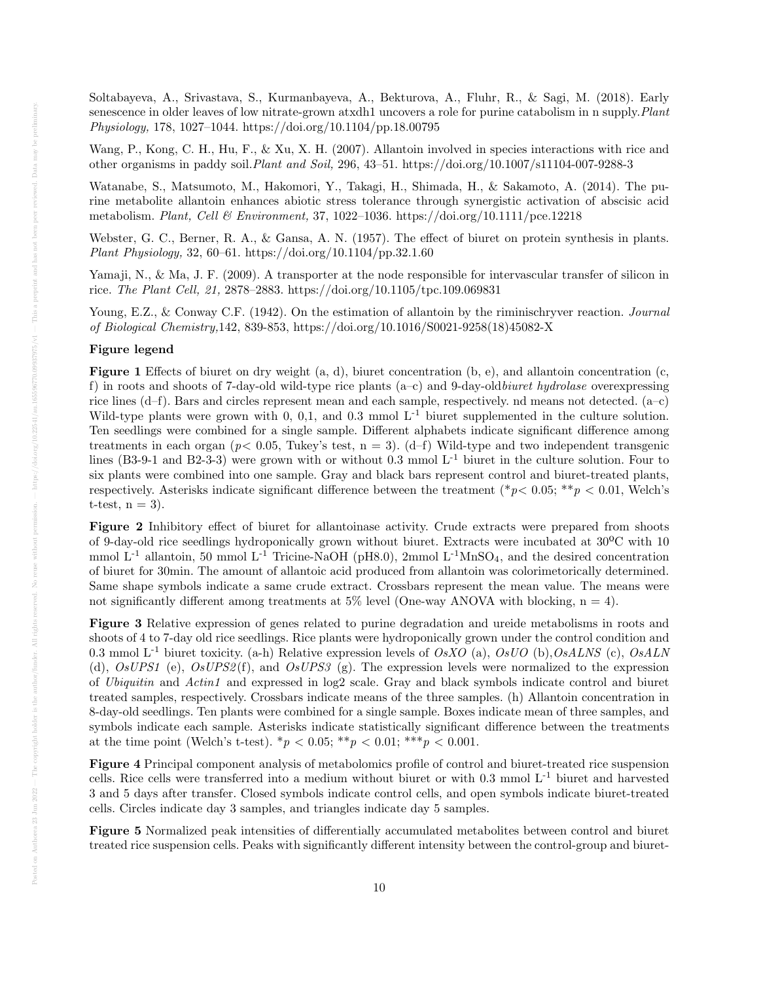Soltabayeva, A., Srivastava, S., Kurmanbayeva, A., Bekturova, A., Fluhr, R., & Sagi, M. (2018). Early senescence in older leaves of low nitrate-grown atxdh1 uncovers a role for purine catabolism in n supply. Plant Physiology, 178, 1027–1044. https://doi.org/10.1104/pp.18.00795

Wang, P., Kong, C. H., Hu, F., & Xu, X. H. (2007). Allantoin involved in species interactions with rice and other organisms in paddy soil.Plant and Soil, 296, 43–51. https://doi.org/10.1007/s11104-007-9288-3

Watanabe, S., Matsumoto, M., Hakomori, Y., Takagi, H., Shimada, H., & Sakamoto, A. (2014). The purine metabolite allantoin enhances abiotic stress tolerance through synergistic activation of abscisic acid metabolism. Plant, Cell & Environment, 37, 1022–1036. https://doi.org/10.1111/pce.12218

Webster, G. C., Berner, R. A., & Gansa, A. N. (1957). The effect of biuret on protein synthesis in plants. Plant Physiology, 32, 60–61. https://doi.org/10.1104/pp.32.1.60

Yamaji, N., & Ma, J. F. (2009). A transporter at the node responsible for intervascular transfer of silicon in rice. The Plant Cell, 21, 2878–2883. https://doi.org/10.1105/tpc.109.069831

Young, E.Z., & Conway C.F. (1942). On the estimation of allantoin by the riminischryver reaction. *Journal* of Biological Chemistry,142, 839-853, https://doi.org/10.1016/S0021-9258(18)45082-X

## Figure legend

**Figure 1** Effects of biuret on dry weight  $(a, d)$ , biuret concentration  $(b, e)$ , and allantoin concentration  $(c, d)$ f) in roots and shoots of 7-day-old wild-type rice plants  $(a-c)$  and 9-day-old *biuret hydrolase* overexpressing rice lines (d–f). Bars and circles represent mean and each sample, respectively. nd means not detected. (a–c) Wild-type plants were grown with 0, 0,1, and 0.3 mmol  $L^{-1}$  biuret supplemented in the culture solution. Ten seedlings were combined for a single sample. Different alphabets indicate significant difference among treatments in each organ ( $p < 0.05$ , Tukey's test,  $n = 3$ ). (d–f) Wild-type and two independent transgenic lines (B3-9-1 and B2-3-3) were grown with or without 0.3 mmol  $L^{-1}$  biuret in the culture solution. Four to six plants were combined into one sample. Gray and black bars represent control and biuret-treated plants, respectively. Asterisks indicate significant difference between the treatment (\*p< 0.05; \*\*p < 0.01, Welch's t-test,  $n = 3$ ).

Figure 2 Inhibitory effect of biuret for allantoinase activity. Crude extracts were prepared from shoots of 9-day-old rice seedlings hydroponically grown without biuret. Extracts were incubated at 30ºC with 10 mmol  $L^{-1}$  allantoin, 50 mmol  $L^{-1}$  Tricine-NaOH (pH8.0), 2mmol  $L^{-1}$ MnSO<sub>4</sub>, and the desired concentration of biuret for 30min. The amount of allantoic acid produced from allantoin was colorimetorically determined. Same shape symbols indicate a same crude extract. Crossbars represent the mean value. The means were not significantly different among treatments at 5% level (One-way ANOVA with blocking,  $n = 4$ ).

Figure 3 Relative expression of genes related to purine degradation and ureide metabolisms in roots and shoots of 4 to 7-day old rice seedlings. Rice plants were hydroponically grown under the control condition and 0.3 mmol  $L^{-1}$  biuret toxicity. (a-h) Relative expression levels of OsXO (a), OsUO (b), OsALNS (c), OsALN (d),  $OsUPS1$  (e),  $OsUPS2(f)$ , and  $OsUPS3$  (g). The expression levels were normalized to the expression of Ubiquitin and Actin1 and expressed in log2 scale. Gray and black symbols indicate control and biuret treated samples, respectively. Crossbars indicate means of the three samples. (h) Allantoin concentration in 8-day-old seedlings. Ten plants were combined for a single sample. Boxes indicate mean of three samples, and symbols indicate each sample. Asterisks indicate statistically significant difference between the treatments at the time point (Welch's t-test).  ${}^*p < 0.05;$   ${}^{**}p < 0.01;$   ${}^{***}p < 0.001$ .

Figure 4 Principal component analysis of metabolomics profile of control and biuret-treated rice suspension cells. Rice cells were transferred into a medium without biuret or with  $0.3 \text{ mmol } L^{-1}$  biuret and harvested 3 and 5 days after transfer. Closed symbols indicate control cells, and open symbols indicate biuret-treated cells. Circles indicate day 3 samples, and triangles indicate day 5 samples.

Figure 5 Normalized peak intensities of differentially accumulated metabolites between control and biuret treated rice suspension cells. Peaks with significantly different intensity between the control-group and biuret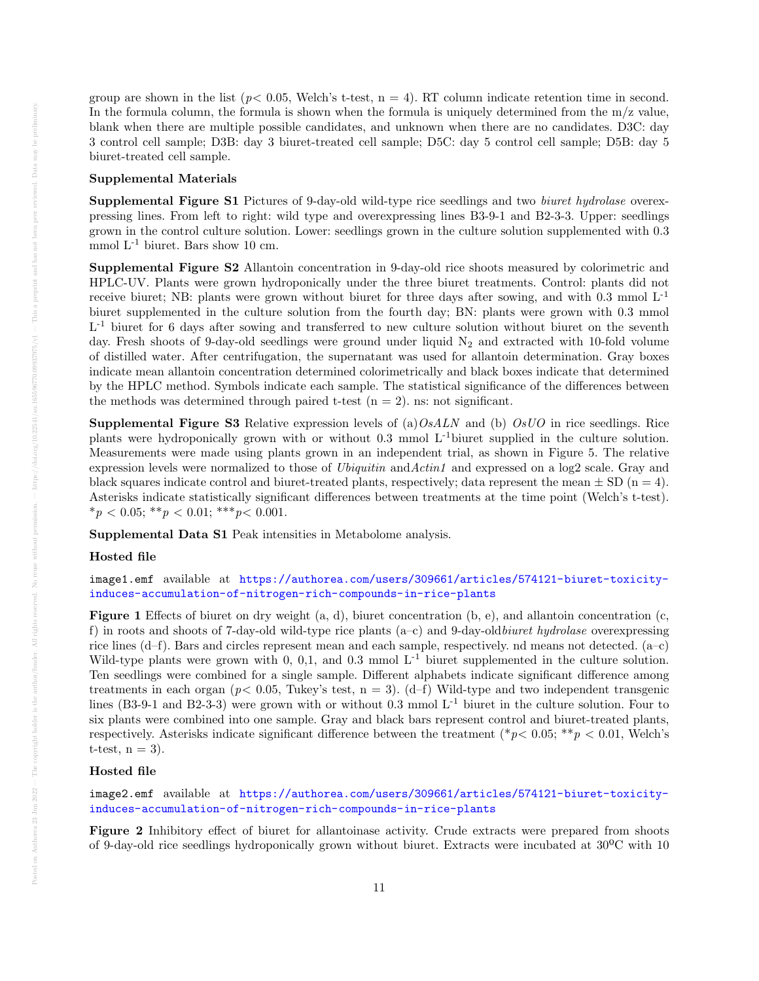group are shown in the list ( $p < 0.05$ , Welch's t-test,  $n = 4$ ). RT column indicate retention time in second. In the formula column, the formula is shown when the formula is uniquely determined from the  $m/z$  value, blank when there are multiple possible candidates, and unknown when there are no candidates. D3C: day 3 control cell sample; D3B: day 3 biuret-treated cell sample; D5C: day 5 control cell sample; D5B: day 5 biuret-treated cell sample.

#### Supplemental Materials

Supplemental Figure S1 Pictures of 9-day-old wild-type rice seedlings and two biuret hydrolase overexpressing lines. From left to right: wild type and overexpressing lines B3-9-1 and B2-3-3. Upper: seedlings grown in the control culture solution. Lower: seedlings grown in the culture solution supplemented with 0.3 mmol L-1 biuret. Bars show 10 cm.

Supplemental Figure S2 Allantoin concentration in 9-day-old rice shoots measured by colorimetric and HPLC-UV. Plants were grown hydroponically under the three biuret treatments. Control: plants did not receive biuret; NB: plants were grown without biuret for three days after sowing, and with  $0.3 \text{ mmol} L^{-1}$ biuret supplemented in the culture solution from the fourth day; BN: plants were grown with 0.3 mmol L<sup>-1</sup> biuret for 6 days after sowing and transferred to new culture solution without biuret on the seventh day. Fresh shoots of 9-day-old seedlings were ground under liquid  $N_2$  and extracted with 10-fold volume of distilled water. After centrifugation, the supernatant was used for allantoin determination. Gray boxes indicate mean allantoin concentration determined colorimetrically and black boxes indicate that determined by the HPLC method. Symbols indicate each sample. The statistical significance of the differences between the methods was determined through paired t-test  $(n = 2)$ . ns: not significant.

**Supplemental Figure S3** Relative expression levels of (a)  $OsALN$  and (b)  $OsUO$  in rice seedlings. Rice plants were hydroponically grown with or without  $0.3 \text{ mmol } L^{-1}$  biuret supplied in the culture solution. Measurements were made using plants grown in an independent trial, as shown in Figure 5. The relative expression levels were normalized to those of *Ubiquitin* and Actin1 and expressed on a log2 scale. Gray and black squares indicate control and biuret-treated plants, respectively; data represent the mean  $\pm$  SD (n = 4). Asterisks indicate statistically significant differences between treatments at the time point (Welch's t-test).  $*_p$  < 0.05;  $*_p$  < 0.01;  $**_p$  < 0.001.

Supplemental Data S1 Peak intensities in Metabolome analysis.

## Hosted file

image1.emf available at [https://authorea.com/users/309661/articles/574121-biuret-toxicity](https://authorea.com/users/309661/articles/574121-biuret-toxicity-induces-accumulation-of-nitrogen-rich-compounds-in-rice-plants)[induces-accumulation-of-nitrogen-rich-compounds-in-rice-plants](https://authorea.com/users/309661/articles/574121-biuret-toxicity-induces-accumulation-of-nitrogen-rich-compounds-in-rice-plants)

**Figure 1** Effects of biuret on dry weight  $(a, d)$ , biuret concentration  $(b, e)$ , and allantoin concentration  $(c, d)$ f) in roots and shoots of 7-day-old wild-type rice plants  $(a-c)$  and 9-day-old *biuret hydrolase* overexpressing rice lines (d–f). Bars and circles represent mean and each sample, respectively. nd means not detected. (a–c) Wild-type plants were grown with 0, 0,1, and 0.3 mmol  $L^{-1}$  biuret supplemented in the culture solution. Ten seedlings were combined for a single sample. Different alphabets indicate significant difference among treatments in each organ ( $p < 0.05$ , Tukey's test,  $n = 3$ ). (d–f) Wild-type and two independent transgenic lines (B3-9-1 and B2-3-3) were grown with or without 0.3 mmol  $L^{-1}$  biuret in the culture solution. Four to six plants were combined into one sample. Gray and black bars represent control and biuret-treated plants, respectively. Asterisks indicate significant difference between the treatment (\* $p$ < 0.05; \*\* $p$  < 0.01, Welch's t-test,  $n = 3$ ).

## Hosted file

image2.emf available at [https://authorea.com/users/309661/articles/574121-biuret-toxicity](https://authorea.com/users/309661/articles/574121-biuret-toxicity-induces-accumulation-of-nitrogen-rich-compounds-in-rice-plants)[induces-accumulation-of-nitrogen-rich-compounds-in-rice-plants](https://authorea.com/users/309661/articles/574121-biuret-toxicity-induces-accumulation-of-nitrogen-rich-compounds-in-rice-plants)

Figure 2 Inhibitory effect of biuret for allantoinase activity. Crude extracts were prepared from shoots of 9-day-old rice seedlings hydroponically grown without biuret. Extracts were incubated at 30ºC with 10